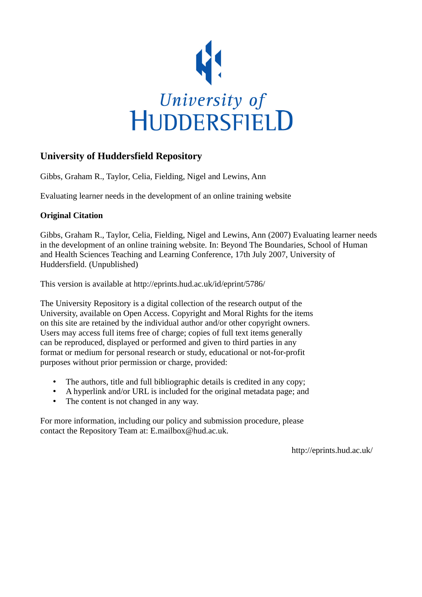

#### **University of Huddersfield Repository**

Gibbs, Graham R., Taylor, Celia, Fielding, Nigel and Lewins, Ann

Evaluating learner needs in the development of an online training website

#### **Original Citation**

Gibbs, Graham R., Taylor, Celia, Fielding, Nigel and Lewins, Ann (2007) Evaluating learner needs in the development of an online training website. In: Beyond The Boundaries, School of Human and Health Sciences Teaching and Learning Conference, 17th July 2007, University of Huddersfield. (Unpublished)

This version is available at http://eprints.hud.ac.uk/id/eprint/5786/

The University Repository is a digital collection of the research output of the University, available on Open Access. Copyright and Moral Rights for the items on this site are retained by the individual author and/or other copyright owners. Users may access full items free of charge; copies of full text items generally can be reproduced, displayed or performed and given to third parties in any format or medium for personal research or study, educational or not-for-profit purposes without prior permission or charge, provided:

- The authors, title and full bibliographic details is credited in any copy;
- A hyperlink and/or URL is included for the original metadata page; and
- The content is not changed in any way.

For more information, including our policy and submission procedure, please contact the Repository Team at: E.mailbox@hud.ac.uk.

http://eprints.hud.ac.uk/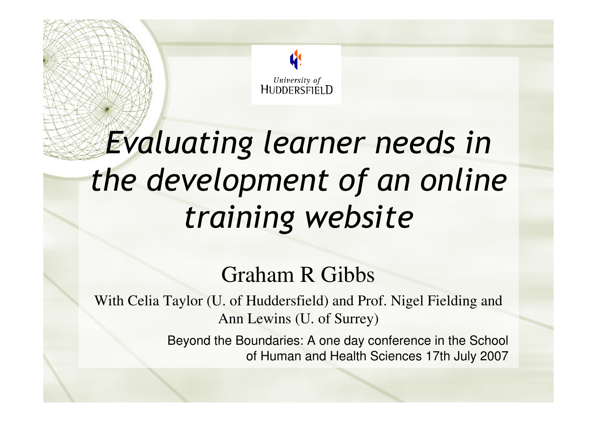

# Evaluating learner needs in the development of an online training website

#### Graham R Gibbs

With Celia Taylor (U. of Huddersfield) and Prof. Nigel Fielding and Ann Lewins (U. of Surrey)

> Beyond the Boundaries: A one day conference in the School of Human and Health Sciences 17th July 2007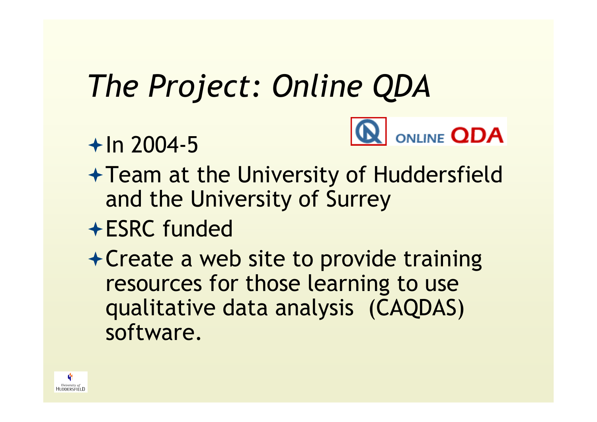# The Project: Online QDA

 $+$  In 2004-5



- Team at the University of Huddersfield and the University of Surrey
- ESRC funded
- Create a web site to provide training resources for those learning to use qualitative data analysis (CAQDAS) software.

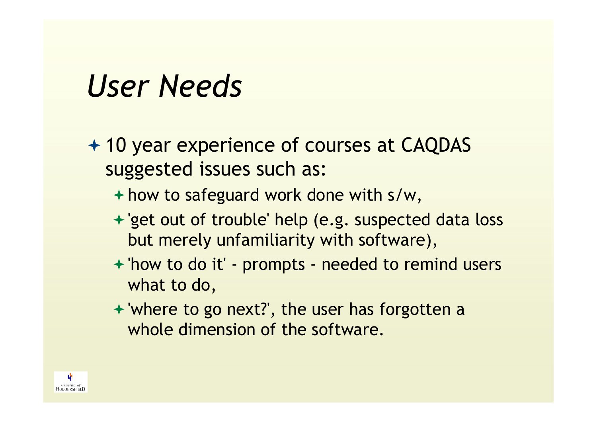#### User Needs

- + 10 year experience of courses at CAQDAS suggested issues such as:
	- how to safeguard work done with s/w,
	- 'get out of trouble' help (e.g. suspected data loss but merely unfamiliarity with software),
	- 'how to do it' prompts needed to remind users what to do,
	- 'where to go next?', the user has forgotten a whole dimension of the software.

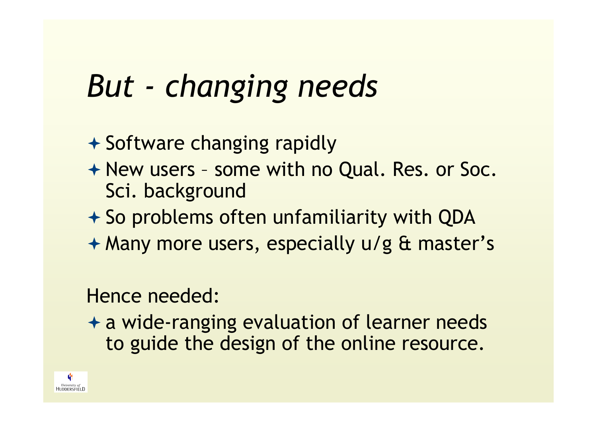#### But - changing needs

- + Software changing rapidly
- ← New users some with no Qual. Res. or Soc.<br>Sci, background Sci. background
- So problems often unfamiliarity with QDA
- Many more users, especially u/g & master's

#### Hence needed:

<sup>+</sup> a wide-ranging evaluation of learner needs<br>to quide the design of the opline resource to guide the design of the online resource.

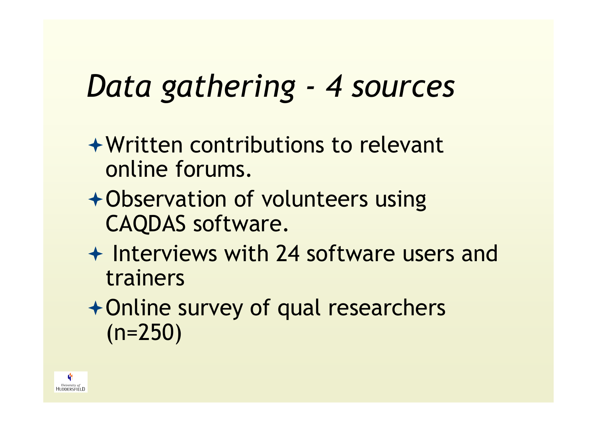### Data gathering - 4 sources

- Written contributions to relevant online forums.
- Observation of volunteers using CAQDAS software.
- + Interviews with 24 software users and<br>trainers trainers
- Online survey of qual researchers (n=250)

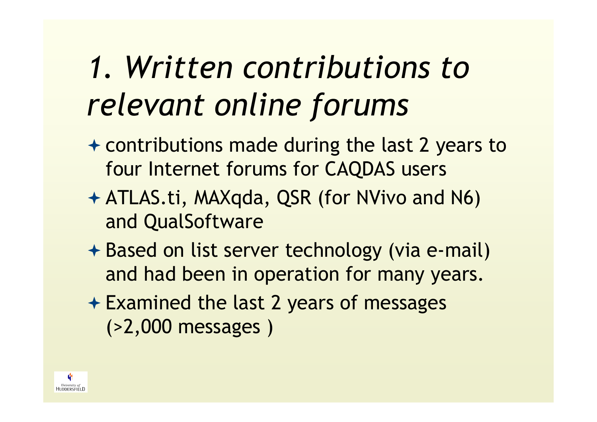### 1. Written contributions to relevant online forums

- + contributions made during the last 2 years to four Internet forums for CAQDAS users
- ATLAS.ti, MAXqda, QSR (for NVivo and N6) and QualSoftware
- + Based on list server technology (via e-mail) and had been in operation for many years.
- + Examined the last 2 years of messages (>2,000 messages )

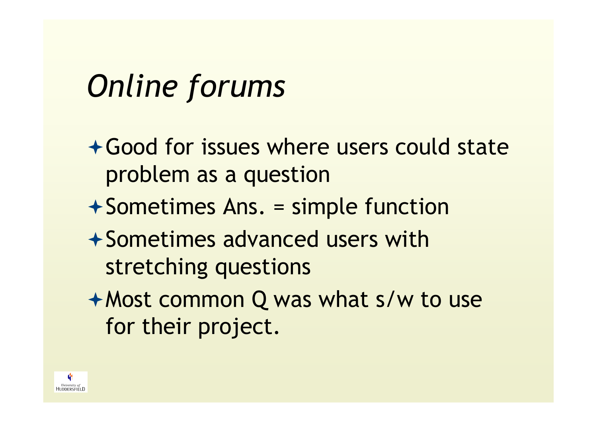#### Online forums

- Good for issues where users could state problem as a question
- Sometimes Ans. = simple function
- $+$  Sometimes advanced users with stretching questions
- Most common Q was what s/w to use for their project.

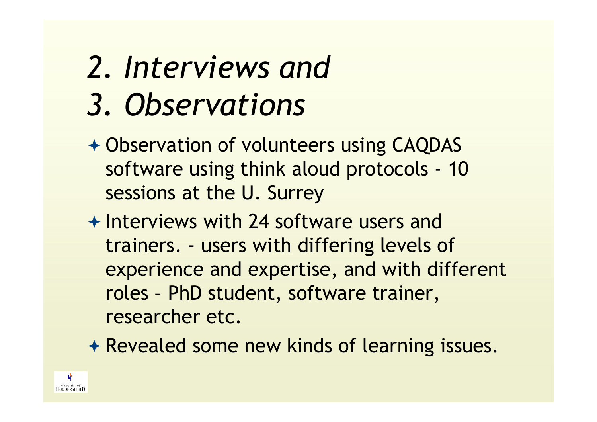# 2. Interviews and

- 3. Observations
- + Observation of volunteers using CAQDAS software using think aloud protocols - <sup>10</sup> sessions at the U. Surrey
- ← Interviews with 24 software users and<br>trainers users with differing lovels a trainers. - users with differing levels of experience and expertise, and with different roles – PhD student, software trainer, researcher etc.
- Revealed some new kinds of learning issues.

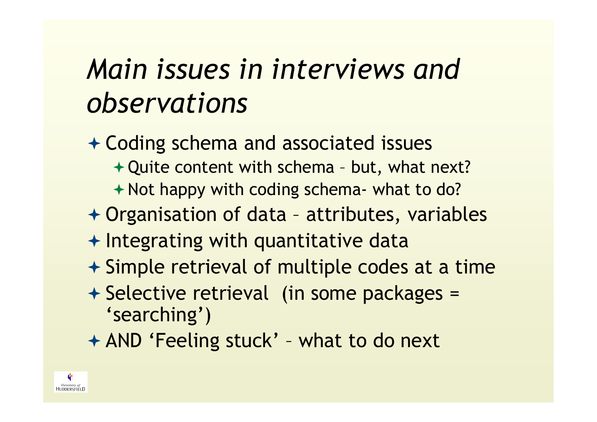#### Main issues in interviews and observations

- + Coding schema and associated issues Quite content with schema – but, what next? + Not happy with coding schema- what to do? Organisation of data – attributes, variables + Integrating with quantitative data **★ Simple retrieval of multiple codes at a time** + Selective retrieval (in some packages = 'searching')
- AND 'Feeling stuck' what to do next

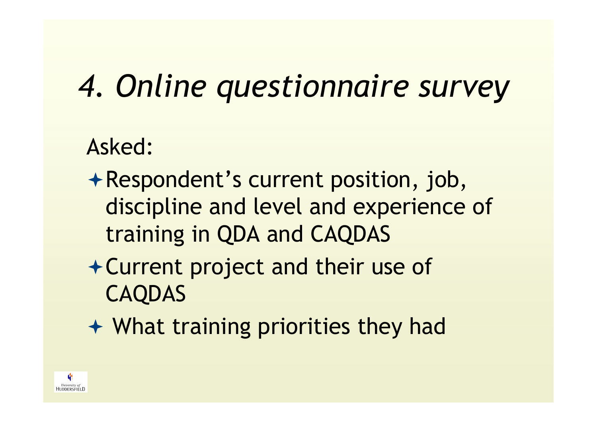# 4. Online questionnaire survey

#### Asked:

- Respondent's current position, job, discipline and level and experience of training in QDA and CAQDAS
- Current project and their use of CAQDAS
- What training priorities they had

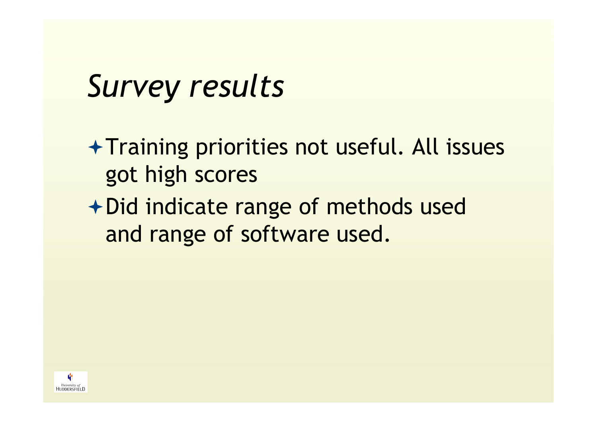#### Survey results

- $+$  Training priorities not useful. All issues got high scores
- Did indicate range of methods used and range of software used.

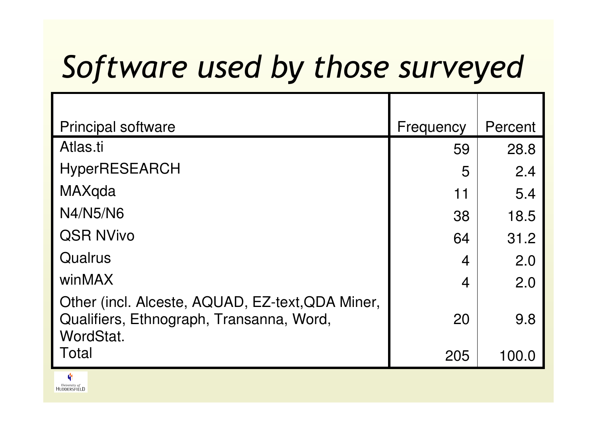#### Software used by those surveyed

| <b>Principal software</b>                                                                                 | Frequency      | Percent |
|-----------------------------------------------------------------------------------------------------------|----------------|---------|
| Atlas <sub>ti</sub>                                                                                       | 59             | 28.8    |
| <b>HyperRESEARCH</b>                                                                                      | 5              | 2.4     |
| MAXqda                                                                                                    | 11             | 5.4     |
| N4/N5/N6                                                                                                  | 38             | 18.5    |
| <b>QSR NVivo</b>                                                                                          | 64             | 31.2    |
| Qualrus                                                                                                   | $\overline{4}$ | 2.0     |
| winMAX                                                                                                    | $\overline{4}$ | 2.0     |
| Other (incl. Alceste, AQUAD, EZ-text, QDA Miner,<br>Qualifiers, Ethnograph, Transanna, Word,<br>WordStat. | 20             | 9.8     |
| Total                                                                                                     | 205            | 100.0   |

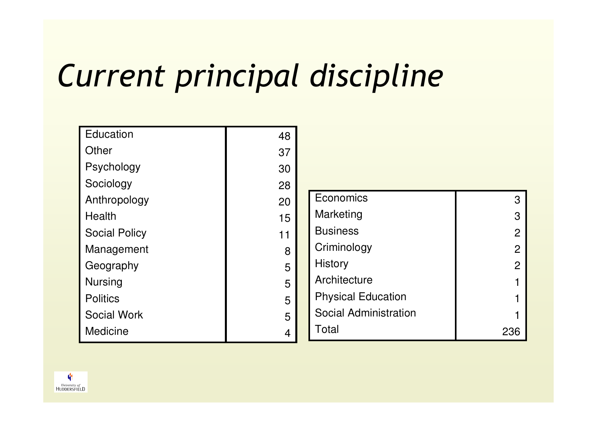### Current principal discipline

| Education            | 48 |
|----------------------|----|
| Other                | 37 |
| Psychology           | 30 |
| Sociology            | 28 |
| Anthropology         | 20 |
| Health               | 15 |
| <b>Social Policy</b> | 11 |
| Management           | 8  |
| Geography            | 5  |
| <b>Nursing</b>       | 5  |
| <b>Politics</b>      | 5  |
| <b>Social Work</b>   | 5  |
| <b>Medicine</b>      |    |
|                      |    |

| Economics                    |   |
|------------------------------|---|
| Marketing                    | З |
| <b>Business</b>              | 2 |
| Criminology                  | 2 |
| <b>History</b>               |   |
| Architecture                 |   |
| <b>Physical Education</b>    |   |
| <b>Social Administration</b> |   |
| Total                        |   |

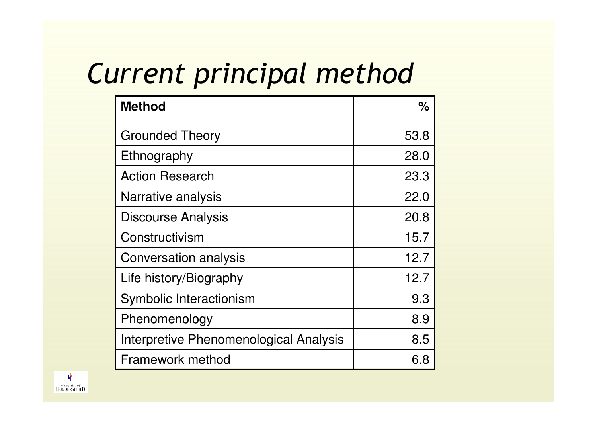#### Current principal method

| <b>Method</b>                          | ℅    |
|----------------------------------------|------|
| <b>Grounded Theory</b>                 | 53.8 |
| Ethnography                            | 28.0 |
| <b>Action Research</b>                 | 23.3 |
| Narrative analysis                     | 22.0 |
| Discourse Analysis                     | 20.8 |
| Constructivism                         | 15.7 |
| <b>Conversation analysis</b>           | 12.7 |
| Life history/Biography                 | 12.7 |
| Symbolic Interactionism                | 9.3  |
| Phenomenology                          | 8.9  |
| Interpretive Phenomenological Analysis | 8.5  |
| Framework method                       | 6.8  |

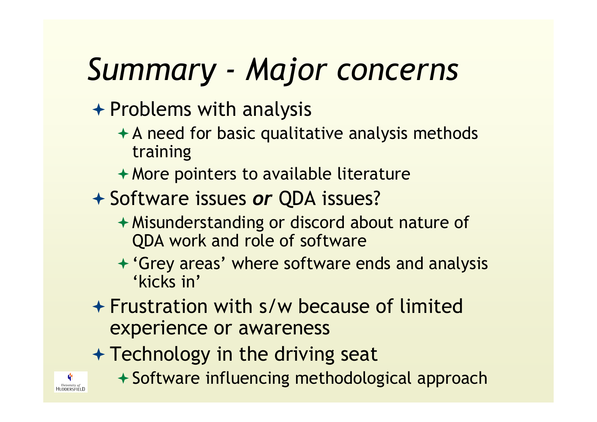# Summary - Major concerns

- + Problems with analysis
	- $\triangle$  A need for basic qualitative analysis methods training
	- More pointers to available literature
- + Software issues or QDA issues?
	- Misunderstanding or discord about nature of QDA work and role of software
	- 'Grey areas' where software ends and analysis 'kicks in'
- ← Frustration with s/w because of limited experience or awareness
- + Technology in the driving seat
	- Software influencing methodological approach

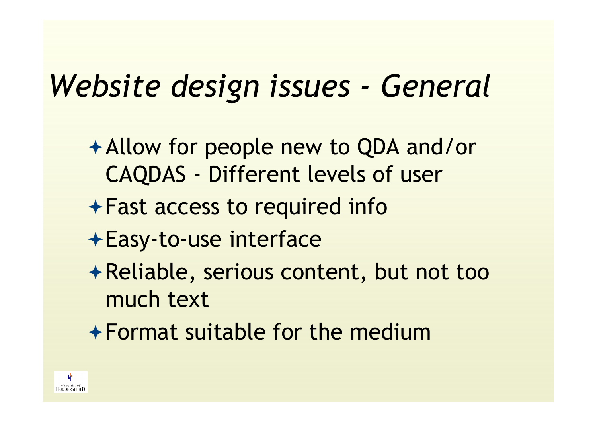#### Website design issues - General

- Allow for people new to QDA and/or CAQDAS - Different levels of user
- Fast access to required info
- Easy-to-use interface
- Reliable, serious content, but not too much text
- Format suitable for the medium

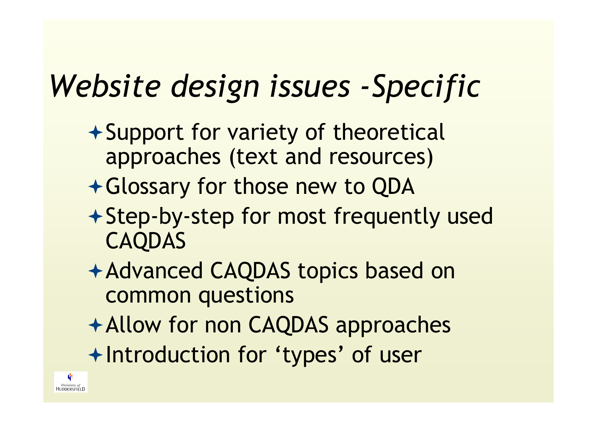## Website design issues -Specific

- $\rightarrow$  Support for variety of theoretical approaches (text and resources)
- Glossary for those new to QDA
- Step-by-step for most frequently used CAQDAS
- Advanced CAQDAS topics based on common questions
- Allow for non CAQDAS approaches
- Introduction for 'types' of user

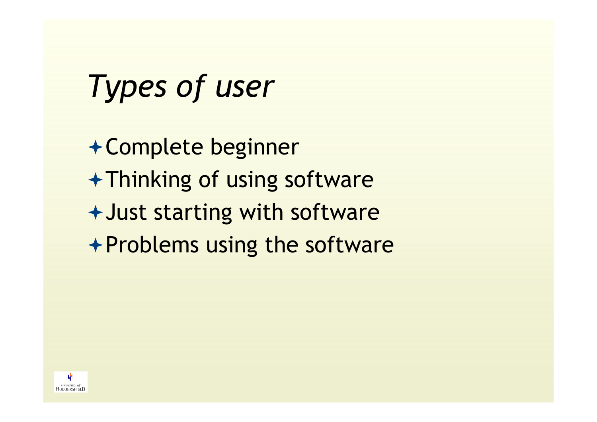# Types of user

Complete beginnerThinking of using softwareJust starting with software $\rightarrow$  Problems using the software

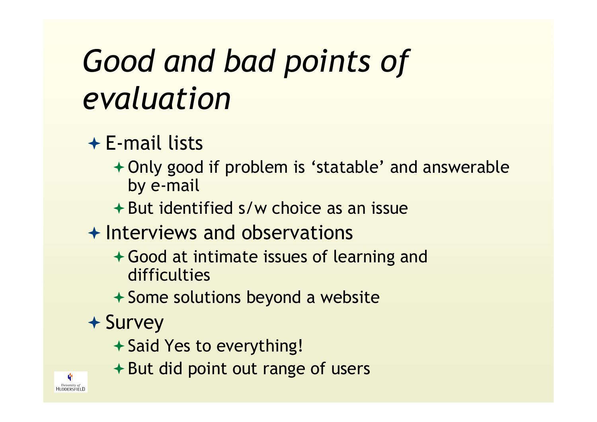# Good and bad points of evaluation

#### **E-mail lists**<br>Lonkseed

- Only good if problem is 'statable' and answerable by e-mail
- But identified s/w choice as an issue
- + Interviews and observations
	- Good at intimate issues of learning and difficulties
	- Some solutions beyond a website
- + Survey
	- + Said Yes to everything!
	- $+$  But did point out range of users

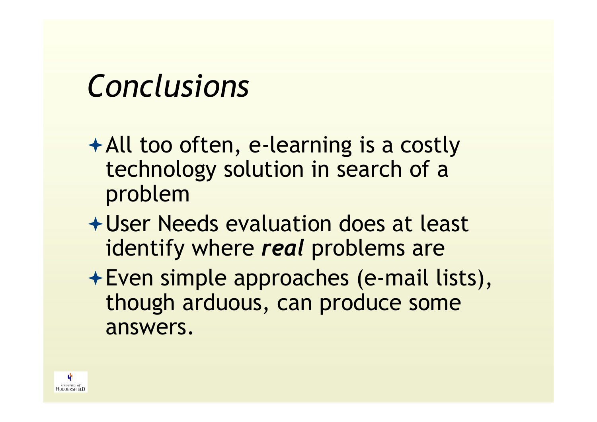# Conclusions

- All too often, e-learning is a costly technology solution in search of a problem
- User Needs evaluation does at least identify where *real* problems are
- Even simple approaches (e-mail lists), though arduous, can produce some answers.

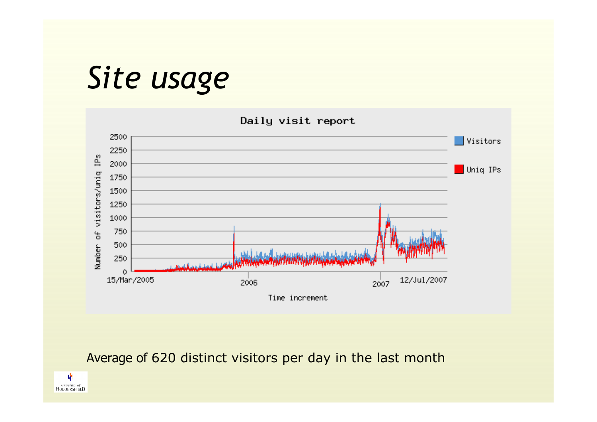#### Site usage



#### Average of 620 distinct visitors per day in the last month